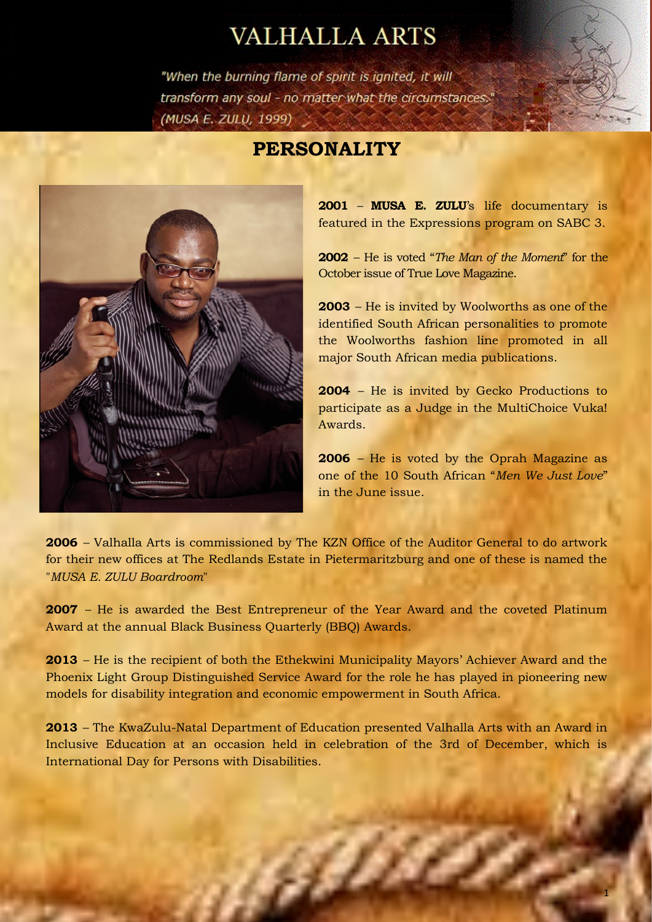## **VALHALLA ARTS**

"When the burning flame of spirit is ignited, it will transform any soul - no matter what the circumstances." (MUSA E. ZULU, 1999)

## **PERSONALITY**



**2001** – **MUSA E. ZULU**'s life documentary is featured in the Expressions program on SABC 3.

**2002** – He is voted "*The Man of the Moment*" for the October issue of True Love Magazine.

**2003** – He is invited by Woolworths as one of the identified South African personalities to promote the Woolworths fashion line promoted in all major South African media publications.

**2004** – He is invited by Gecko Productions to participate as a Judge in the MultiChoice Vuka! Awards.

**2006** – He is voted by the Oprah Magazine as one of the 10 South African "*Men We Just Love*" in the June issue.

**2006** – Valhalla Arts is commissioned by The KZN Office of the Auditor General to do artwork for their new offices at The Redlands Estate in Pietermaritzburg and one of these is named the "*MUSA E. ZULU Boardroom*"

**2007** – He is awarded the Best Entrepreneur of the Year Award and the coveted Platinum Award at the annual Black Business Quarterly (BBQ) Awards.

**2013** – He is the recipient of both the Ethekwini Municipality Mayors' Achiever Award and the Phoenix Light Group Distinguished Service Award for the role he has played in pioneering new models for disability integration and economic empowerment in South Africa.

**2013** – The KwaZulu-Natal Department of Education presented Valhalla Arts with an Award in Inclusive Education at an occasion held in celebration of the 3rd of December, which is International Day for Persons with Disabilities.

affi